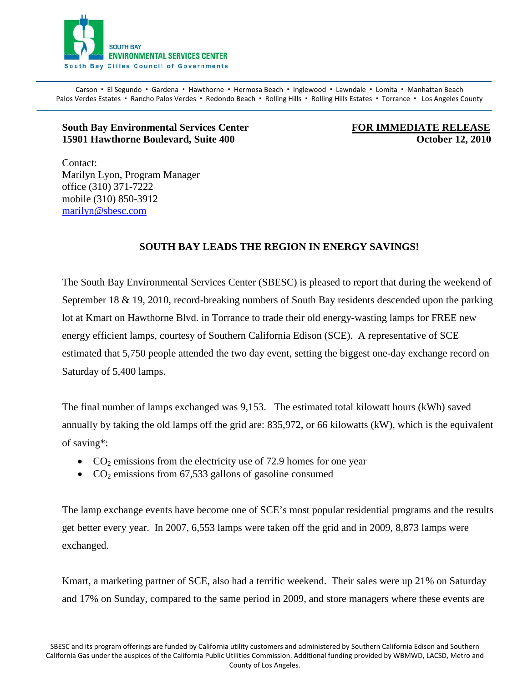

Carson · El Segundo · Gardena · Hawthorne · Hermosa Beach · Inglewood · Lawndale · Lomita · Manhattan Beach Palos Verdes Estates · Rancho Palos Verdes · Redondo Beach · Rolling Hills · Rolling Hills Estates · Torrance · Los Angeles County

## **South Bay Environmental Services Center FOR IMMEDIATE RELEASE 15901 Hawthorne Boulevard, Suite 400 Contract 200 Contract 200 Coronal Contract 2010**

Contact: Marilyn Lyon, Program Manager office (310) 371-7222 mobile (310) 850-3912 [marilyn@sbesc.com](mailto:marilyn@sbesc.com)

## **SOUTH BAY LEADS THE REGION IN ENERGY SAVINGS!**

The South Bay Environmental Services Center (SBESC) is pleased to report that during the weekend of September 18 & 19, 2010, record-breaking numbers of South Bay residents descended upon the parking lot at Kmart on Hawthorne Blvd. in Torrance to trade their old energy-wasting lamps for FREE new energy efficient lamps, courtesy of Southern California Edison (SCE). A representative of SCE estimated that 5,750 people attended the two day event, setting the biggest one-day exchange record on Saturday of 5,400 lamps.

The final number of lamps exchanged was 9,153. The estimated total kilowatt hours (kWh) saved annually by taking the old lamps off the grid are: 835,972, or 66 kilowatts (kW), which is the equivalent of saving\*:

- $CO<sub>2</sub>$  emissions from the electricity use of 72.9 homes for one year
- $CO<sub>2</sub>$  emissions from 67,533 gallons of gasoline consumed

The lamp exchange events have become one of SCE's most popular residential programs and the results get better every year. In 2007, 6,553 lamps were taken off the grid and in 2009, 8,873 lamps were exchanged.

Kmart, a marketing partner of SCE, also had a terrific weekend. Their sales were up 21% on Saturday and 17% on Sunday, compared to the same period in 2009, and store managers where these events are